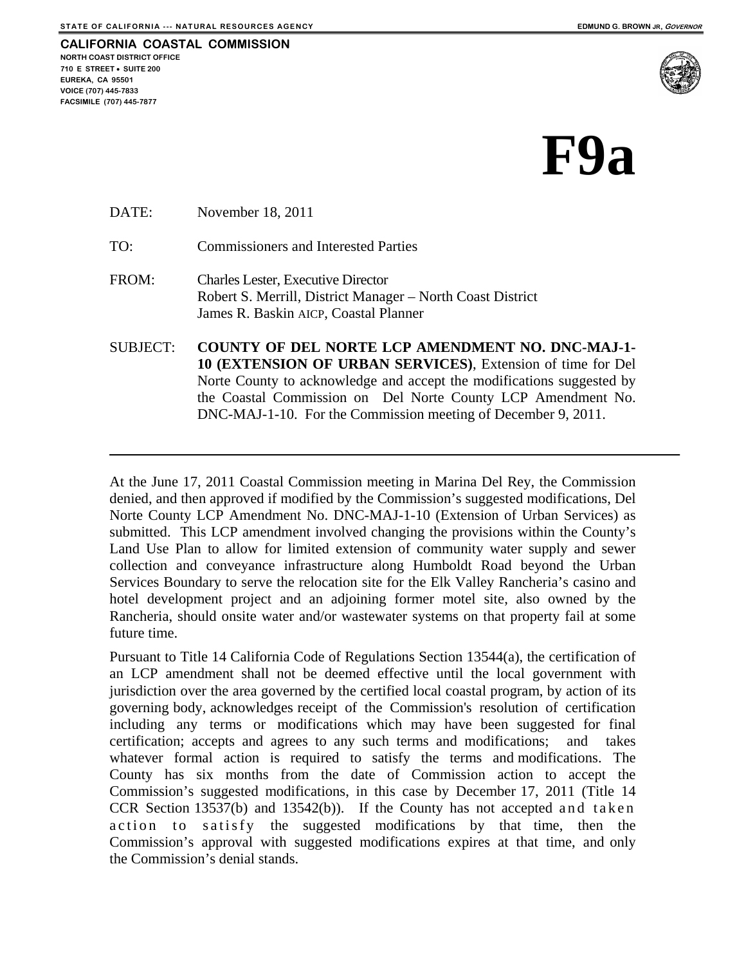**CALIFORNIA COASTAL COMMISSION NORTH COAST DISTRICT OFFICE 710 E STREET** • **SUITE 200 EUREKA, CA 95501 VOICE (707) 445-7833 FACSIMILE (707) 445-7877** 



## **F9а**

DATE: November 18, 2011

TO: Commissioners and Interested Parties

- FROM: Charles Lester, Executive Director Robert S. Merrill, District Manager – North Coast District James R. Baskin AICP, Coastal Planner
- SUBJECT: **COUNTY OF DEL NORTE LCP AMENDMENT NO. DNC-MAJ-1- 10 (EXTENSION OF URBAN SERVICES)**, Extension of time for Del Norte County to acknowledge and accept the modifications suggested by the Coastal Commission on Del Norte County LCP Amendment No. DNC-MAJ-1-10. For the Commission meeting of December 9, 2011.

At the June 17, 2011 Coastal Commission meeting in Marina Del Rey, the Commission denied, and then approved if modified by the Commission's suggested modifications, Del Norte County LCP Amendment No. DNC-MAJ-1-10 (Extension of Urban Services) as submitted. This LCP amendment involved changing the provisions within the County's Land Use Plan to allow for limited extension of community water supply and sewer collection and conveyance infrastructure along Humboldt Road beyond the Urban Services Boundary to serve the relocation site for the Elk Valley Rancheria's casino and hotel development project and an adjoining former motel site, also owned by the Rancheria, should onsite water and/or wastewater systems on that property fail at some future time.

Pursuant to Title 14 California Code of Regulations Section 13544(a), the certification of an LCP amendment shall not be deemed effective until the local government with jurisdiction over the area governed by the certified local coastal program, by action of its governing body, acknowledges receipt of the Commission's resolution of certification including any terms or modifications which may have been suggested for final certification; accepts and agrees to any such terms and modifications; and takes whatever formal action is required to satisfy the terms and modifications. The County has six months from the date of Commission action to accept the Commission's suggested modifications, in this case by December 17, 2011 (Title 14 CCR Section  $13537(b)$  and  $13542(b)$ ). If the County has not accepted and taken action to satisfy the suggested modifications by that time, then the Commission's approval with suggested modifications expires at that time, and only the Commission's denial stands.